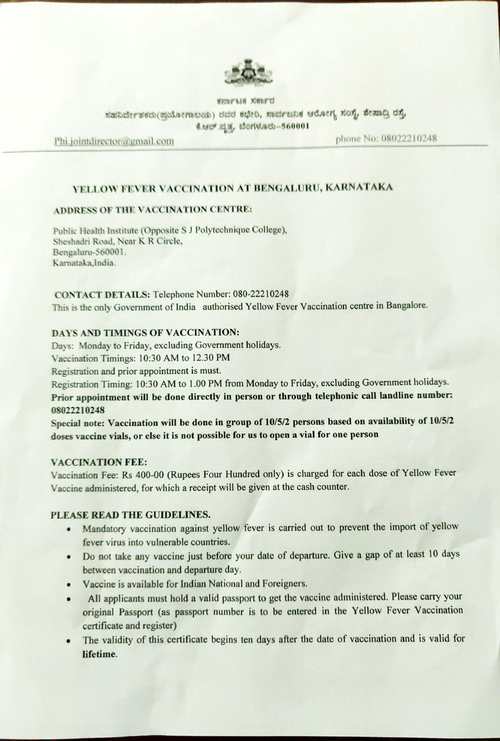

ENDFLIE XEDFU

ಸಹನಿರ್ದೇಶಕರು(ಪುಯೋಗಾಲಯ) ರವರ ಕಛೇರಿ, ಸಾರ್ವಜನಿಕ ಆರೋಗ್ಯ ಸಂಸ್ಥೆ, ಶೇಷಾದ್ರಿ ರಸ್ತೆ.

8.0 toritatb-560001

Phi.jointdirector@gmail.com phone No: 08022210248

# YELLOW FEVER VACCINATION AT BENGALURU, KARNATAKA

### ADDRESS OF THE VACCINATION CENTRE:

Public Health Institute (Opposite S J Polytechnique College), Sheshadri Road, Near K R Circle, Bengaluru-560001. Karnataka,India.

cONTACT DETAILS: Telephone Number: 080-22210248 This is the only Government of India authorised Yellow Fever Vaccination centre in Bangalore

### DAYS AND TIMINGS OF VACCINATION:

Days: Monday to Friday, excluding Government holidays.

Vaccination Timings: 10:30 AM to 12.30 PM

Registration and prior appointment is must.

Registration Timing: 10:30 AM to 1.00 PM from Monday to Friday, excluding Government holidays. Prior appointment will be done directly in person or through telephonic call landline number: 08022210248

Special note: Vaccination will be done in group of 10/5/2 persons based on availability of 10/5/2 doses vaccine vials, or else it is not possible for us to open <sup>a</sup> vial for one person

# VACCINATION FEE

Vaccination Fee: Rs 400-00 (Rupees Four Hundred only) is charged for each dose of Yellow Fever Vaccine administered, for which a receipt will be given at the cash counter.

# PLEASE READ THE GUIDELINES.

- Mandatory vaccination against yellow fever is carried out to prevent the import of yellow fever virus into vulnerable countries,
- Do not take any vaccine just before your date of departure. Give <sup>a</sup> gap of at least <sup>10</sup> days between vaccination and departure day.
- Vaccine is available for Indian National and Foreigners
- All applicants must hold <sup>a</sup> valid passport to get the vaccine administered. Please carry your  $\bullet$ original Passport (as passport number is to be entered in the Yellow Fever Vaccination certificate and register)
- The validity of this certificate begins ten days after the date of vaccination and is valid for lifetime